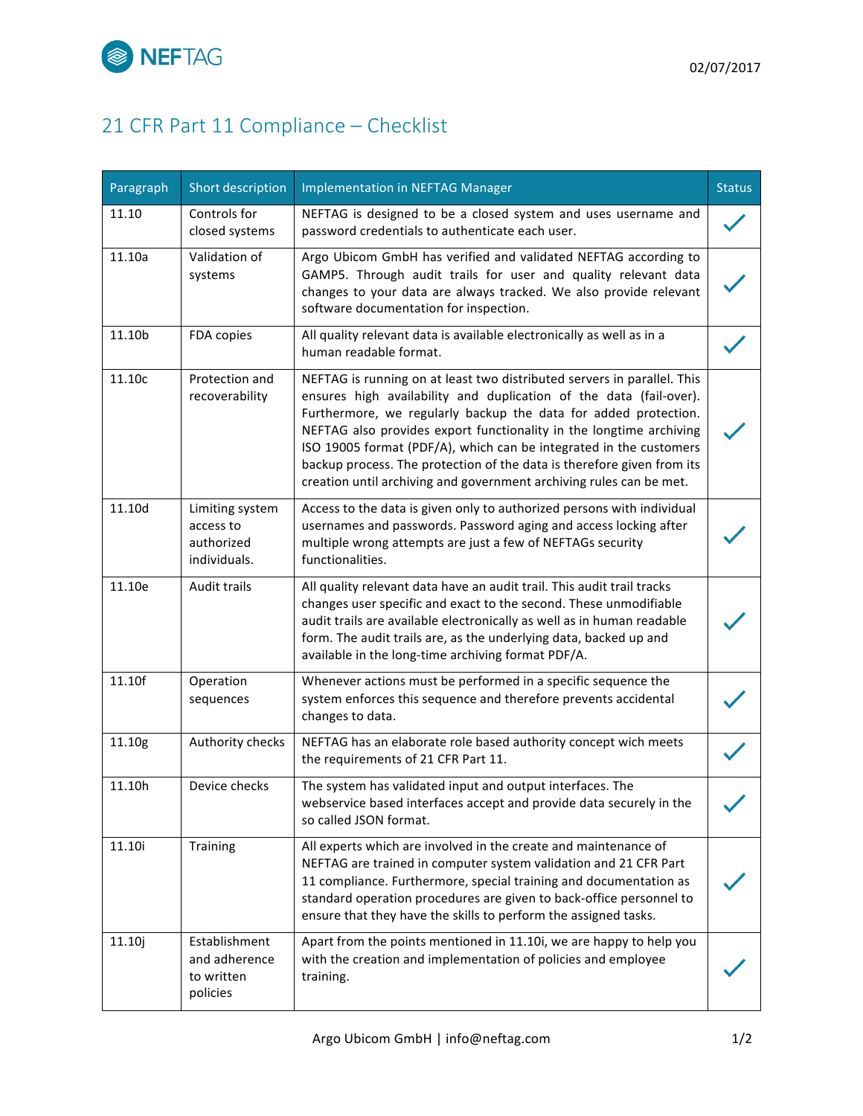

## 21 CFR Part 11 Compliance - Checklist

| Paragraph | Short description                                          | Implementation in NEFTAG Manager                                                                                                                                                                                                                                                                                                                                                                                                                                                                               | <b>Status</b> |
|-----------|------------------------------------------------------------|----------------------------------------------------------------------------------------------------------------------------------------------------------------------------------------------------------------------------------------------------------------------------------------------------------------------------------------------------------------------------------------------------------------------------------------------------------------------------------------------------------------|---------------|
| 11.10     | Controls for<br>closed systems                             | NEFTAG is designed to be a closed system and uses username and<br>password credentials to authenticate each user.                                                                                                                                                                                                                                                                                                                                                                                              |               |
| 11.10a    | Validation of<br>systems                                   | Argo Ubicom GmbH has verified and validated NEFTAG according to<br>GAMP5. Through audit trails for user and quality relevant data<br>changes to your data are always tracked. We also provide relevant<br>software documentation for inspection.                                                                                                                                                                                                                                                               |               |
| 11.10b    | FDA copies                                                 | All quality relevant data is available electronically as well as in a<br>human readable format.                                                                                                                                                                                                                                                                                                                                                                                                                |               |
| 11.10c    | Protection and<br>recoverability                           | NEFTAG is running on at least two distributed servers in parallel. This<br>ensures high availability and duplication of the data (fail-over).<br>Furthermore, we regularly backup the data for added protection.<br>NEFTAG also provides export functionality in the longtime archiving<br>ISO 19005 format (PDF/A), which can be integrated in the customers<br>backup process. The protection of the data is therefore given from its<br>creation until archiving and government archiving rules can be met. |               |
| 11.10d    | Limiting system<br>access to<br>authorized<br>individuals. | Access to the data is given only to authorized persons with individual<br>usernames and passwords. Password aging and access locking after<br>multiple wrong attempts are just a few of NEFTAGs security<br>functionalities.                                                                                                                                                                                                                                                                                   |               |
| 11.10e    | Audit trails                                               | All quality relevant data have an audit trail. This audit trail tracks<br>changes user specific and exact to the second. These unmodifiable<br>audit trails are available electronically as well as in human readable<br>form. The audit trails are, as the underlying data, backed up and<br>available in the long-time archiving format PDF/A.                                                                                                                                                               |               |
| 11.10f    | Operation<br>sequences                                     | Whenever actions must be performed in a specific sequence the<br>system enforces this sequence and therefore prevents accidental<br>changes to data.                                                                                                                                                                                                                                                                                                                                                           |               |
| 11.10g    | Authority checks                                           | NEFTAG has an elaborate role based authority concept wich meets<br>the requirements of 21 CFR Part 11.                                                                                                                                                                                                                                                                                                                                                                                                         |               |
| 11.10h    | Device checks                                              | The system has validated input and output interfaces. The<br>webservice based interfaces accept and provide data securely in the<br>so called JSON format.                                                                                                                                                                                                                                                                                                                                                     |               |
| 11.10i    | Training                                                   | All experts which are involved in the create and maintenance of<br>NEFTAG are trained in computer system validation and 21 CFR Part<br>11 compliance. Furthermore, special training and documentation as<br>standard operation procedures are given to back-office personnel to<br>ensure that they have the skills to perform the assigned tasks.                                                                                                                                                             |               |
| 11.10j    | Establishment<br>and adherence<br>to written<br>policies   | Apart from the points mentioned in 11.10i, we are happy to help you<br>with the creation and implementation of policies and employee<br>training.                                                                                                                                                                                                                                                                                                                                                              |               |